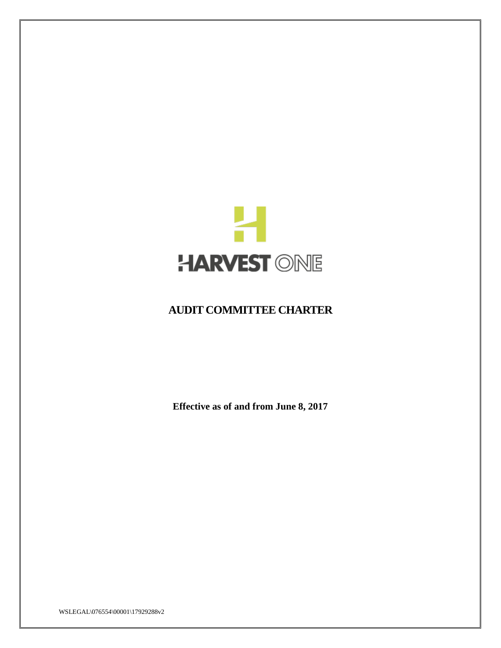

# **AUDIT COMMITTEE CHARTER**

**Effective as of and from June 8, 2017**

WSLEGAL\076554\00001\17929288v2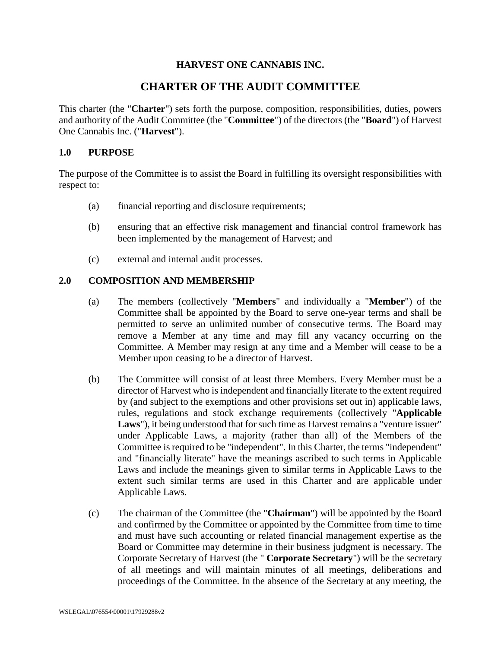# **HARVEST ONE CANNABIS INC.**

# **CHARTER OF THE AUDIT COMMITTEE**

This charter (the "**Charter**") sets forth the purpose, composition, responsibilities, duties, powers and authority of the Audit Committee (the "**Committee**") of the directors (the "**Board**") of Harvest One Cannabis Inc. ("**Harvest**").

# **1.0 PURPOSE**

The purpose of the Committee is to assist the Board in fulfilling its oversight responsibilities with respect to:

- (a) financial reporting and disclosure requirements;
- (b) ensuring that an effective risk management and financial control framework has been implemented by the management of Harvest; and
- (c) external and internal audit processes.

# **2.0 COMPOSITION AND MEMBERSHIP**

- (a) The members (collectively "**Members**" and individually a "**Member**") of the Committee shall be appointed by the Board to serve one-year terms and shall be permitted to serve an unlimited number of consecutive terms. The Board may remove a Member at any time and may fill any vacancy occurring on the Committee. A Member may resign at any time and a Member will cease to be a Member upon ceasing to be a director of Harvest.
- (b) The Committee will consist of at least three Members. Every Member must be a director of Harvest who is independent and financially literate to the extent required by (and subject to the exemptions and other provisions set out in) applicable laws, rules, regulations and stock exchange requirements (collectively "**Applicable Laws**"), it being understood that for such time as Harvest remains a "venture issuer" under Applicable Laws, a majority (rather than all) of the Members of the Committee is required to be "independent". In this Charter, the terms "independent" and "financially literate" have the meanings ascribed to such terms in Applicable Laws and include the meanings given to similar terms in Applicable Laws to the extent such similar terms are used in this Charter and are applicable under Applicable Laws.
- (c) The chairman of the Committee (the "**Chairman**") will be appointed by the Board and confirmed by the Committee or appointed by the Committee from time to time and must have such accounting or related financial management expertise as the Board or Committee may determine in their business judgment is necessary. The Corporate Secretary of Harvest (the " **Corporate Secretary**") will be the secretary of all meetings and will maintain minutes of all meetings, deliberations and proceedings of the Committee. In the absence of the Secretary at any meeting, the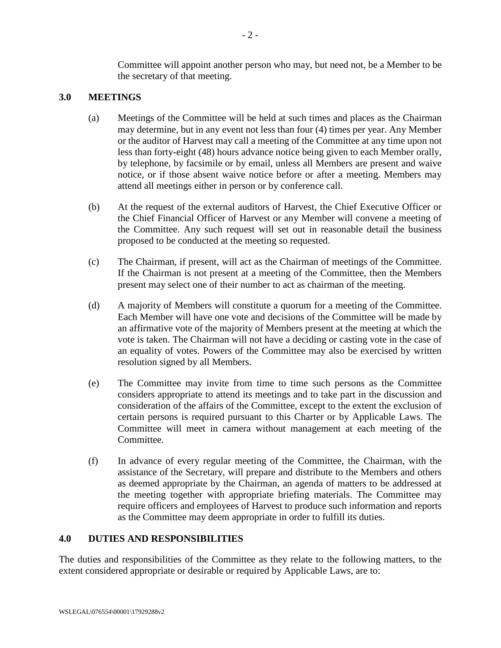Committee will appoint another person who may, but need not, be a Member to be the secretary of that meeting.

# **3.0 MEETINGS**

- (a) Meetings of the Committee will be held at such times and places as the Chairman may determine, but in any event not less than four (4) times per year. Any Member or the auditor of Harvest may call a meeting of the Committee at any time upon not less than forty-eight (48) hours advance notice being given to each Member orally, by telephone, by facsimile or by email, unless all Members are present and waive notice, or if those absent waive notice before or after a meeting. Members may attend all meetings either in person or by conference call.
- (b) At the request of the external auditors of Harvest, the Chief Executive Officer or the Chief Financial Officer of Harvest or any Member will convene a meeting of the Committee. Any such request will set out in reasonable detail the business proposed to be conducted at the meeting so requested.
- (c) The Chairman, if present, will act as the Chairman of meetings of the Committee. If the Chairman is not present at a meeting of the Committee, then the Members present may select one of their number to act as chairman of the meeting.
- (d) A majority of Members will constitute a quorum for a meeting of the Committee. Each Member will have one vote and decisions of the Committee will be made by an affirmative vote of the majority of Members present at the meeting at which the vote is taken. The Chairman will not have a deciding or casting vote in the case of an equality of votes. Powers of the Committee may also be exercised by written resolution signed by all Members.
- (e) The Committee may invite from time to time such persons as the Committee considers appropriate to attend its meetings and to take part in the discussion and consideration of the affairs of the Committee, except to the extent the exclusion of certain persons is required pursuant to this Charter or by Applicable Laws. The Committee will meet in camera without management at each meeting of the Committee.
- (f) In advance of every regular meeting of the Committee, the Chairman, with the assistance of the Secretary, will prepare and distribute to the Members and others as deemed appropriate by the Chairman, an agenda of matters to be addressed at the meeting together with appropriate briefing materials. The Committee may require officers and employees of Harvest to produce such information and reports as the Committee may deem appropriate in order to fulfill its duties.

# **4.0 DUTIES AND RESPONSIBILITIES**

The duties and responsibilities of the Committee as they relate to the following matters, to the extent considered appropriate or desirable or required by Applicable Laws, are to: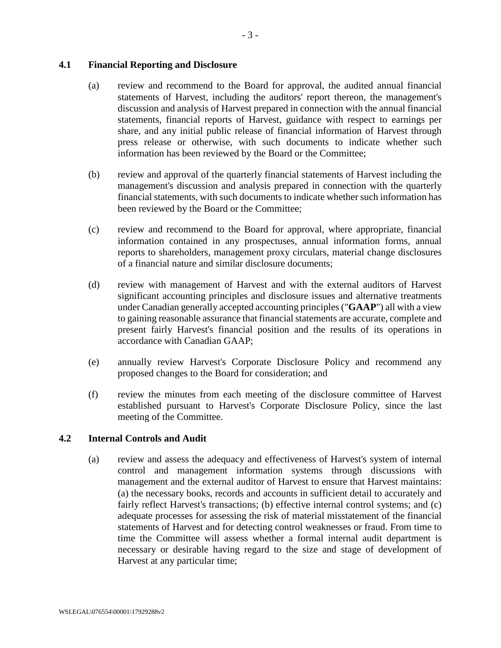# **4.1 Financial Reporting and Disclosure**

- (a) review and recommend to the Board for approval, the audited annual financial statements of Harvest, including the auditors' report thereon, the management's discussion and analysis of Harvest prepared in connection with the annual financial statements, financial reports of Harvest, guidance with respect to earnings per share, and any initial public release of financial information of Harvest through press release or otherwise, with such documents to indicate whether such information has been reviewed by the Board or the Committee;
- (b) review and approval of the quarterly financial statements of Harvest including the management's discussion and analysis prepared in connection with the quarterly financial statements, with such documents to indicate whether such information has been reviewed by the Board or the Committee;
- (c) review and recommend to the Board for approval, where appropriate, financial information contained in any prospectuses, annual information forms, annual reports to shareholders, management proxy circulars, material change disclosures of a financial nature and similar disclosure documents;
- (d) review with management of Harvest and with the external auditors of Harvest significant accounting principles and disclosure issues and alternative treatments under Canadian generally accepted accounting principles ("**GAAP**") all with a view to gaining reasonable assurance that financial statements are accurate, complete and present fairly Harvest's financial position and the results of its operations in accordance with Canadian GAAP;
- (e) annually review Harvest's Corporate Disclosure Policy and recommend any proposed changes to the Board for consideration; and
- (f) review the minutes from each meeting of the disclosure committee of Harvest established pursuant to Harvest's Corporate Disclosure Policy, since the last meeting of the Committee.

# **4.2 Internal Controls and Audit**

(a) review and assess the adequacy and effectiveness of Harvest's system of internal control and management information systems through discussions with management and the external auditor of Harvest to ensure that Harvest maintains: (a) the necessary books, records and accounts in sufficient detail to accurately and fairly reflect Harvest's transactions; (b) effective internal control systems; and (c) adequate processes for assessing the risk of material misstatement of the financial statements of Harvest and for detecting control weaknesses or fraud. From time to time the Committee will assess whether a formal internal audit department is necessary or desirable having regard to the size and stage of development of Harvest at any particular time;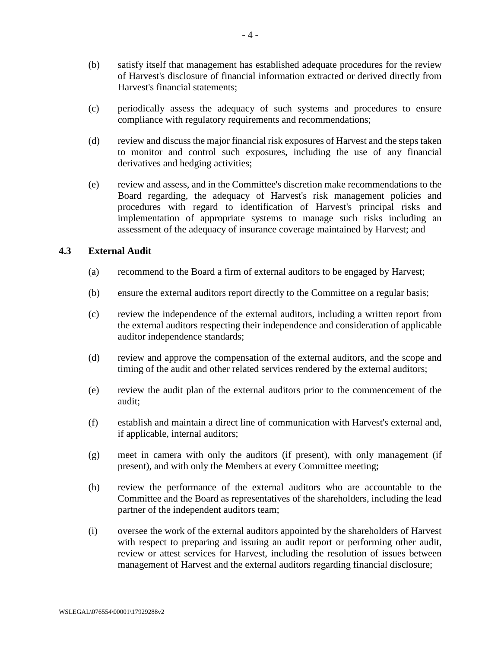- (b) satisfy itself that management has established adequate procedures for the review of Harvest's disclosure of financial information extracted or derived directly from Harvest's financial statements;
- (c) periodically assess the adequacy of such systems and procedures to ensure compliance with regulatory requirements and recommendations;
- (d) review and discuss the major financial risk exposures of Harvest and the steps taken to monitor and control such exposures, including the use of any financial derivatives and hedging activities;
- (e) review and assess, and in the Committee's discretion make recommendations to the Board regarding, the adequacy of Harvest's risk management policies and procedures with regard to identification of Harvest's principal risks and implementation of appropriate systems to manage such risks including an assessment of the adequacy of insurance coverage maintained by Harvest; and

#### **4.3 External Audit**

- (a) recommend to the Board a firm of external auditors to be engaged by Harvest;
- (b) ensure the external auditors report directly to the Committee on a regular basis;
- (c) review the independence of the external auditors, including a written report from the external auditors respecting their independence and consideration of applicable auditor independence standards;
- (d) review and approve the compensation of the external auditors, and the scope and timing of the audit and other related services rendered by the external auditors;
- (e) review the audit plan of the external auditors prior to the commencement of the audit;
- (f) establish and maintain a direct line of communication with Harvest's external and, if applicable, internal auditors;
- (g) meet in camera with only the auditors (if present), with only management (if present), and with only the Members at every Committee meeting;
- (h) review the performance of the external auditors who are accountable to the Committee and the Board as representatives of the shareholders, including the lead partner of the independent auditors team;
- (i) oversee the work of the external auditors appointed by the shareholders of Harvest with respect to preparing and issuing an audit report or performing other audit, review or attest services for Harvest, including the resolution of issues between management of Harvest and the external auditors regarding financial disclosure;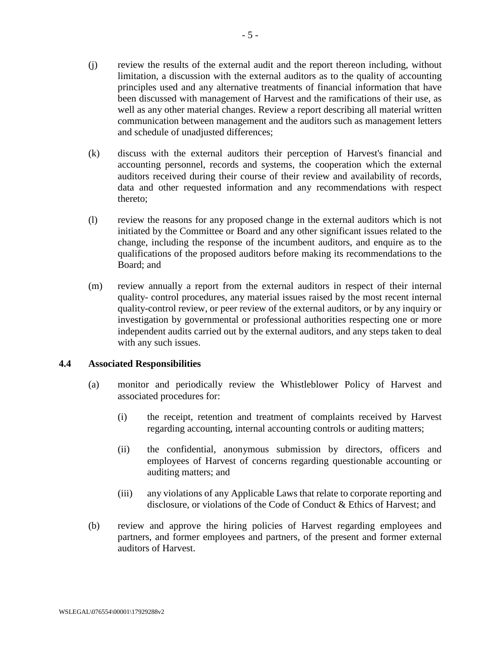- (j) review the results of the external audit and the report thereon including, without limitation, a discussion with the external auditors as to the quality of accounting principles used and any alternative treatments of financial information that have been discussed with management of Harvest and the ramifications of their use, as well as any other material changes. Review a report describing all material written communication between management and the auditors such as management letters and schedule of unadjusted differences;
- (k) discuss with the external auditors their perception of Harvest's financial and accounting personnel, records and systems, the cooperation which the external auditors received during their course of their review and availability of records, data and other requested information and any recommendations with respect thereto;
- (l) review the reasons for any proposed change in the external auditors which is not initiated by the Committee or Board and any other significant issues related to the change, including the response of the incumbent auditors, and enquire as to the qualifications of the proposed auditors before making its recommendations to the Board; and
- (m) review annually a report from the external auditors in respect of their internal quality- control procedures, any material issues raised by the most recent internal quality-control review, or peer review of the external auditors, or by any inquiry or investigation by governmental or professional authorities respecting one or more independent audits carried out by the external auditors, and any steps taken to deal with any such issues.

# **4.4 Associated Responsibilities**

- (a) monitor and periodically review the Whistleblower Policy of Harvest and associated procedures for:
	- (i) the receipt, retention and treatment of complaints received by Harvest regarding accounting, internal accounting controls or auditing matters;
	- (ii) the confidential, anonymous submission by directors, officers and employees of Harvest of concerns regarding questionable accounting or auditing matters; and
	- (iii) any violations of any Applicable Laws that relate to corporate reporting and disclosure, or violations of the Code of Conduct & Ethics of Harvest; and
- (b) review and approve the hiring policies of Harvest regarding employees and partners, and former employees and partners, of the present and former external auditors of Harvest.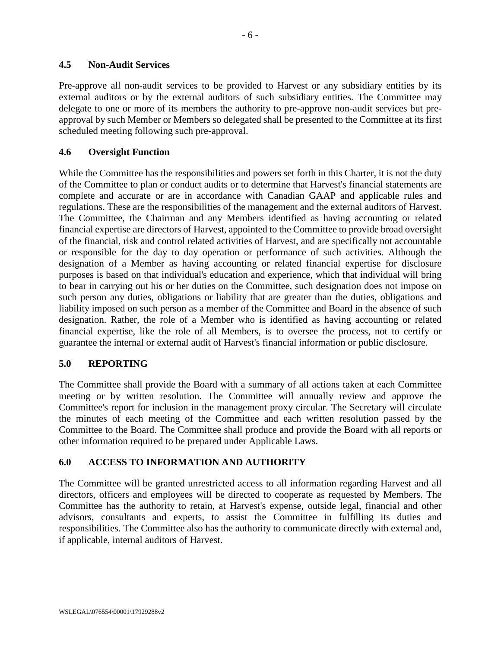#### **4.5 Non-Audit Services**

Pre-approve all non-audit services to be provided to Harvest or any subsidiary entities by its external auditors or by the external auditors of such subsidiary entities. The Committee may delegate to one or more of its members the authority to pre-approve non-audit services but preapproval by such Member or Members so delegated shall be presented to the Committee at its first scheduled meeting following such pre-approval.

#### **4.6 Oversight Function**

While the Committee has the responsibilities and powers set forth in this Charter, it is not the duty of the Committee to plan or conduct audits or to determine that Harvest's financial statements are complete and accurate or are in accordance with Canadian GAAP and applicable rules and regulations. These are the responsibilities of the management and the external auditors of Harvest. The Committee, the Chairman and any Members identified as having accounting or related financial expertise are directors of Harvest, appointed to the Committee to provide broad oversight of the financial, risk and control related activities of Harvest, and are specifically not accountable or responsible for the day to day operation or performance of such activities. Although the designation of a Member as having accounting or related financial expertise for disclosure purposes is based on that individual's education and experience, which that individual will bring to bear in carrying out his or her duties on the Committee, such designation does not impose on such person any duties, obligations or liability that are greater than the duties, obligations and liability imposed on such person as a member of the Committee and Board in the absence of such designation. Rather, the role of a Member who is identified as having accounting or related financial expertise, like the role of all Members, is to oversee the process, not to certify or guarantee the internal or external audit of Harvest's financial information or public disclosure.

# **5.0 REPORTING**

The Committee shall provide the Board with a summary of all actions taken at each Committee meeting or by written resolution. The Committee will annually review and approve the Committee's report for inclusion in the management proxy circular. The Secretary will circulate the minutes of each meeting of the Committee and each written resolution passed by the Committee to the Board. The Committee shall produce and provide the Board with all reports or other information required to be prepared under Applicable Laws.

# **6.0 ACCESS TO INFORMATION AND AUTHORITY**

The Committee will be granted unrestricted access to all information regarding Harvest and all directors, officers and employees will be directed to cooperate as requested by Members. The Committee has the authority to retain, at Harvest's expense, outside legal, financial and other advisors, consultants and experts, to assist the Committee in fulfilling its duties and responsibilities. The Committee also has the authority to communicate directly with external and, if applicable, internal auditors of Harvest.